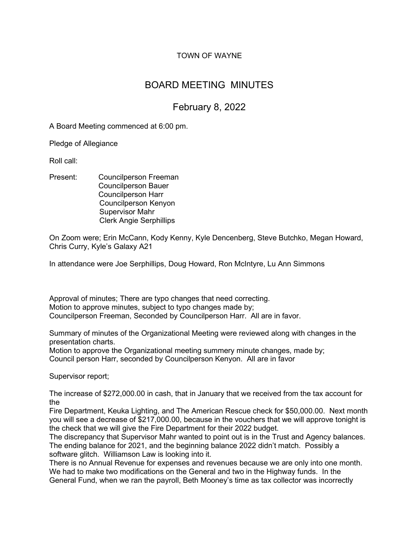# TOWN OF WAYNE

# BOARD MEETING MINUTES

# February 8, 2022

A Board Meeting commenced at 6:00 pm.

Pledge of Allegiance

Roll call:

Present: Councilperson Freeman Councilperson Bauer Councilperson Harr Councilperson Kenyon Supervisor Mahr Clerk Angie Serphillips

On Zoom were; Erin McCann, Kody Kenny, Kyle Dencenberg, Steve Butchko, Megan Howard, Chris Curry, Kyle's Galaxy A21

In attendance were Joe Serphillips, Doug Howard, Ron McIntyre, Lu Ann Simmons

Approval of minutes; There are typo changes that need correcting. Motion to approve minutes, subject to typo changes made by; Councilperson Freeman, Seconded by Councilperson Harr. All are in favor.

Summary of minutes of the Organizational Meeting were reviewed along with changes in the presentation charts.

Motion to approve the Organizational meeting summery minute changes, made by; Council person Harr, seconded by Councilperson Kenyon. All are in favor

Supervisor report;

The increase of \$272,000.00 in cash, that in January that we received from the tax account for the

Fire Department, Keuka Lighting, and The American Rescue check for \$50,000.00. Next month you will see a decrease of \$217,000.00, because in the vouchers that we will approve tonight is the check that we will give the Fire Department for their 2022 budget.

The discrepancy that Supervisor Mahr wanted to point out is in the Trust and Agency balances. The ending balance for 2021, and the beginning balance 2022 didn't match. Possibly a software glitch. Williamson Law is looking into it.

There is no Annual Revenue for expenses and revenues because we are only into one month. We had to make two modifications on the General and two in the Highway funds. In the General Fund, when we ran the payroll, Beth Mooney's time as tax collector was incorrectly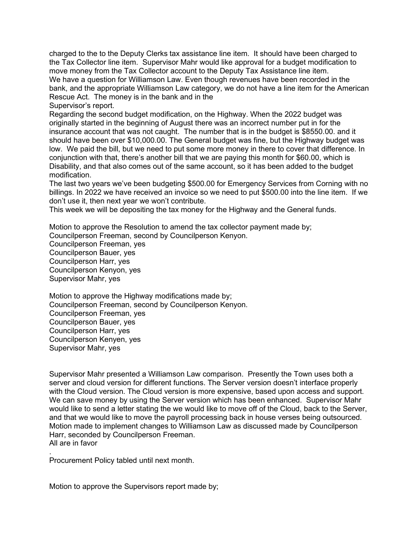charged to the to the Deputy Clerks tax assistance line item. It should have been charged to the Tax Collector line item. Supervisor Mahr would like approval for a budget modification to move money from the Tax Collector account to the Deputy Tax Assistance line item. We have a question for Williamson Law. Even though revenues have been recorded in the bank, and the appropriate Williamson Law category, we do not have a line item for the American Rescue Act. The money is in the bank and in the

Supervisor's report.

Regarding the second budget modification, on the Highway. When the 2022 budget was originally started in the beginning of August there was an incorrect number put in for the insurance account that was not caught. The number that is in the budget is \$8550.00. and it should have been over \$10,000.00. The General budget was fine, but the Highway budget was low. We paid the bill, but we need to put some more money in there to cover that difference. In conjunction with that, there's another bill that we are paying this month for \$60.00, which is Disability, and that also comes out of the same account, so it has been added to the budget modification.

The last two years we've been budgeting \$500.00 for Emergency Services from Corning with no billings. In 2022 we have received an invoice so we need to put \$500.00 into the line item. If we don't use it, then next year we won't contribute.

This week we will be depositing the tax money for the Highway and the General funds.

Motion to approve the Resolution to amend the tax collector payment made by;

Councilperson Freeman, second by Councilperson Kenyon.

Councilperson Freeman, yes Councilperson Bauer, yes Councilperson Harr, yes Councilperson Kenyon, yes Supervisor Mahr, yes

Motion to approve the Highway modifications made by; Councilperson Freeman, second by Councilperson Kenyon. Councilperson Freeman, yes Councilperson Bauer, yes Councilperson Harr, yes Councilperson Kenyen, yes Supervisor Mahr, yes

Supervisor Mahr presented a Williamson Law comparison. Presently the Town uses both a server and cloud version for different functions. The Server version doesn't interface properly with the Cloud version. The Cloud version is more expensive, based upon access and support. We can save money by using the Server version which has been enhanced. Supervisor Mahr would like to send a letter stating the we would like to move off of the Cloud, back to the Server, and that we would like to move the payroll processing back in house verses being outsourced. Motion made to implement changes to Williamson Law as discussed made by Councilperson Harr, seconded by Councilperson Freeman. All are in favor

. Procurement Policy tabled until next month.

Motion to approve the Supervisors report made by;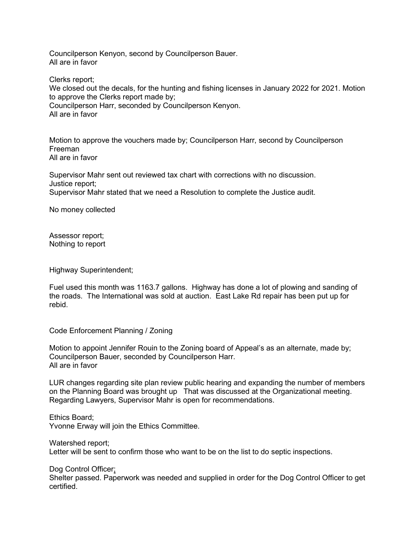Councilperson Kenyon, second by Councilperson Bauer. All are in favor

Clerks report;

We closed out the decals, for the hunting and fishing licenses in January 2022 for 2021. Motion to approve the Clerks report made by; Councilperson Harr, seconded by Councilperson Kenyon. All are in favor

Motion to approve the vouchers made by; Councilperson Harr, second by Councilperson Freeman All are in favor

Supervisor Mahr sent out reviewed tax chart with corrections with no discussion. Justice report; Supervisor Mahr stated that we need a Resolution to complete the Justice audit.

No money collected

Assessor report; Nothing to report

Highway Superintendent;

Fuel used this month was 1163.7 gallons. Highway has done a lot of plowing and sanding of the roads. The International was sold at auction. East Lake Rd repair has been put up for rebid.

Code Enforcement Planning / Zoning

Motion to appoint Jennifer Rouin to the Zoning board of Appeal's as an alternate, made by; Councilperson Bauer, seconded by Councilperson Harr. All are in favor

LUR changes regarding site plan review public hearing and expanding the number of members on the Planning Board was brought up That was discussed at the Organizational meeting. Regarding Lawyers, Supervisor Mahr is open for recommendations.

Ethics Board; Yvonne Erway will join the Ethics Committee.

Watershed report;

Letter will be sent to confirm those who want to be on the list to do septic inspections.

Dog Control Officer;

Shelter passed. Paperwork was needed and supplied in order for the Dog Control Officer to get certified.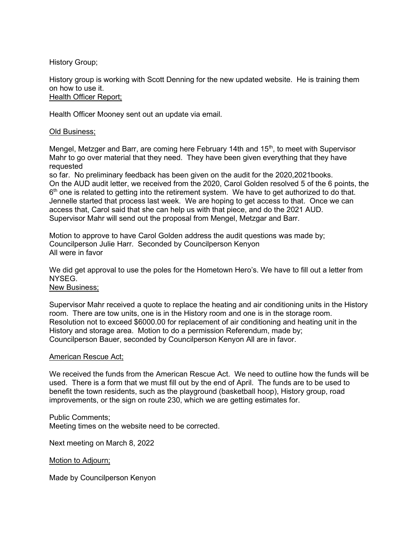History Group;

History group is working with Scott Denning for the new updated website. He is training them on how to use it. Health Officer Report;

Health Officer Mooney sent out an update via email.

## Old Business;

Mengel, Metzger and Barr, are coming here February 14th and  $15<sup>th</sup>$ , to meet with Supervisor Mahr to go over material that they need. They have been given everything that they have requested

so far. No preliminary feedback has been given on the audit for the 2020,2021books. On the AUD audit letter, we received from the 2020, Carol Golden resolved 5 of the 6 points, the  $6<sup>th</sup>$  one is related to getting into the retirement system. We have to get authorized to do that. Jennelle started that process last week. We are hoping to get access to that. Once we can access that, Carol said that she can help us with that piece, and do the 2021 AUD. Supervisor Mahr will send out the proposal from Mengel, Metzgar and Barr.

Motion to approve to have Carol Golden address the audit questions was made by; Councilperson Julie Harr. Seconded by Councilperson Kenyon All were in favor

We did get approval to use the poles for the Hometown Hero's. We have to fill out a letter from **NYSEG** 

## New Business;

Supervisor Mahr received a quote to replace the heating and air conditioning units in the History room. There are tow units, one is in the History room and one is in the storage room. Resolution not to exceed \$6000.00 for replacement of air conditioning and heating unit in the History and storage area. Motion to do a permission Referendum, made by; Councilperson Bauer, seconded by Councilperson Kenyon All are in favor.

### American Rescue Act;

We received the funds from the American Rescue Act. We need to outline how the funds will be used. There is a form that we must fill out by the end of April. The funds are to be used to benefit the town residents, such as the playground (basketball hoop), History group, road improvements, or the sign on route 230, which we are getting estimates for.

### Public Comments;

Meeting times on the website need to be corrected.

Next meeting on March 8, 2022

### Motion to Adjourn;

Made by Councilperson Kenyon